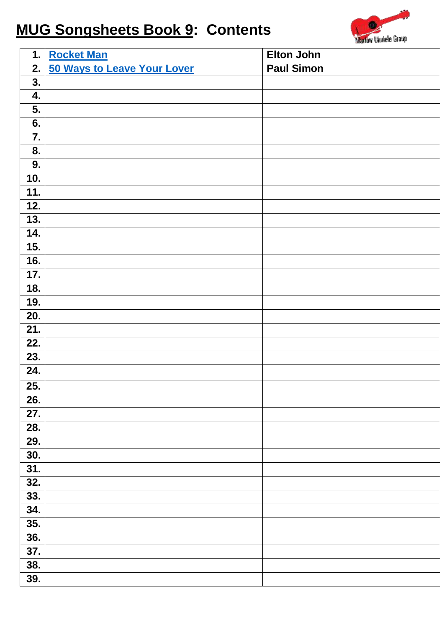## **MUG Songsheets Book 9: Contents**



| 1.  | <b>Rocket Man</b>           | <b>Elton John</b> |
|-----|-----------------------------|-------------------|
| 2.  | 50 Ways to Leave Your Lover | <b>Paul Simon</b> |
| 3.  |                             |                   |
| 4.  |                             |                   |
| 5.  |                             |                   |
| 6.  |                             |                   |
| 7.  |                             |                   |
| 8.  |                             |                   |
| 9.  |                             |                   |
| 10. |                             |                   |
| 11. |                             |                   |
| 12. |                             |                   |
| 13. |                             |                   |
| 14. |                             |                   |
| 15. |                             |                   |
| 16. |                             |                   |
| 17. |                             |                   |
| 18. |                             |                   |
| 19. |                             |                   |
| 20. |                             |                   |
| 21. |                             |                   |
| 22. |                             |                   |
| 23. |                             |                   |
| 24. |                             |                   |
| 25. |                             |                   |
| 26. |                             |                   |
| 27. |                             |                   |
| 28. |                             |                   |
| 29. |                             |                   |
| 30. |                             |                   |
| 31. |                             |                   |
| 32. |                             |                   |
| 33. |                             |                   |
| 34. |                             |                   |
| 35. |                             |                   |
| 36. |                             |                   |
| 37. |                             |                   |
| 38. |                             |                   |
| 39. |                             |                   |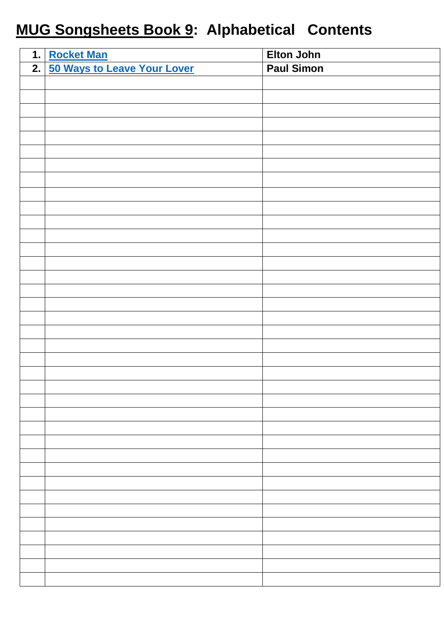## **MUG Songsheets Book 9: Alphabetical Contents**

| 1. Rocket Man                  | <b>Elton John</b> |
|--------------------------------|-------------------|
| 2. 50 Ways to Leave Your Lover | <b>Paul Simon</b> |
|                                |                   |
|                                |                   |
|                                |                   |
|                                |                   |
|                                |                   |
|                                |                   |
|                                |                   |
|                                |                   |
|                                |                   |
|                                |                   |
|                                |                   |
|                                |                   |
|                                |                   |
|                                |                   |
|                                |                   |
|                                |                   |
|                                |                   |
|                                |                   |
|                                |                   |
|                                |                   |
|                                |                   |
|                                |                   |
|                                |                   |
|                                |                   |
|                                |                   |
|                                |                   |
|                                |                   |
|                                |                   |
|                                |                   |
|                                |                   |
|                                |                   |
|                                |                   |
|                                |                   |
|                                |                   |
|                                |                   |
|                                |                   |
|                                |                   |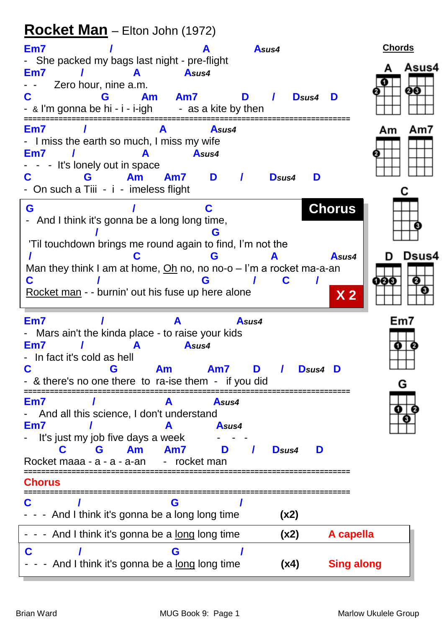## <span id="page-2-0"></span>Rocket Man - Elton John (1972)

| Em7                                                                                                                                                                           |                                            | Asus4             |                   |                         | <b>Chords</b>  |
|-------------------------------------------------------------------------------------------------------------------------------------------------------------------------------|--------------------------------------------|-------------------|-------------------|-------------------------|----------------|
| - She packed my bags last night - pre-flight<br>Em7<br>Zero hour, nine a.m.<br><b>Am</b><br>C<br>G<br>- & I'm gonna be hi - i - i-igh                                         | Asus4<br>Am7<br>- as a kite by then        | D                 | D <sub>sus4</sub> | D                       | Asus4<br>00    |
| Em7<br>- I miss the earth so much, I miss my wife<br>Em7<br>It's lonely out in space<br>$\qquad \qquad \blacksquare$<br>Am<br>G<br>C<br>- On such a Tiii - i - imeless flight | Asus4<br>Asus4<br>D<br>Am7                 | D <sub>sus4</sub> | D                 |                         | Am7<br>Am      |
| G<br>- And I think it's gonna be a long long time,<br>'Til touchdown brings me round again to find, I'm not the                                                               |                                            |                   |                   | <b>Chorus</b>           |                |
| Man they think I am at home, $Oh$ no, no no-o $- l$ 'm a rocket ma-a-an<br>C<br>Rocket man - - burnin' out his fuse up here alone                                             | G                                          |                   |                   | Asus4<br>X <sub>2</sub> | Dsus4<br>11213 |
| Em7<br>- Mars ain't the kinda place - to raise your kids<br>Em7<br>In fact it's cold as hell<br>C<br>Am<br>G<br>- & there's no one there to ra-ise them - if you did          | Asus4<br>Am7                               | Asus4<br>D        | <b>D</b> sus4     | D                       | Em7<br>G       |
| Em7<br>And all this science, I don't understand<br>Em7<br>It's just my job five days a week<br>Am<br>C<br>G<br>Rocket maaa - a - a - a-an                                     | Asus4<br>Asus4<br>Am7<br>D<br>- rocket man | Dsus4             | D                 |                         |                |
| Chorus                                                                                                                                                                        |                                            |                   |                   |                         |                |
| G<br>- - And I think it's gonna be a long long time                                                                                                                           | G                                          |                   | (x2)              |                         |                |
| - - - And I think it's gonna be a <u>long</u> long time                                                                                                                       |                                            |                   | (x2)              | A capella               |                |
| And I think it's gonna be a long long time                                                                                                                                    | G                                          |                   | (x4)              | <b>Sing along</b>       |                |